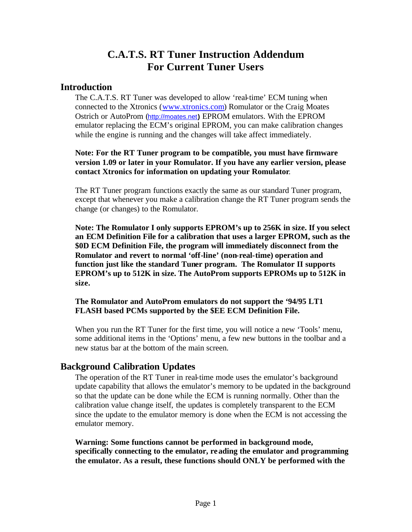# **C.A.T.S. RT Tuner Instruction Addendum For Current Tuner Users**

#### **Introduction**

The C.A.T.S. RT Tuner was developed to allow 'real-time' ECM tuning when connected to the Xtronics (www.xtronics.com) Romulator or the Craig Moates Ostrich or AutoProm (http://moates.net**)** EPROM emulators. With the EPROM emulator replacing the ECM's original EPROM, you can make calibration changes while the engine is running and the changes will take affect immediately.

**Note: For the RT Tuner program to be compatible, you must have firmware version 1.09 or later in your Romulator. If you have any earlier version, please contact Xtronics for information on updating your Romulator**.

The RT Tuner program functions exactly the same as our standard Tuner program, except that whenever you make a calibration change the RT Tuner program sends the change (or changes) to the Romulator.

**Note: The Romulator I only supports EPROM's up to 256K in size. If you select an ECM Definition File for a calibration that uses a larger EPROM, such as the \$0D ECM Definition File, the program will immediately disconnect from the Romulator and revert to normal 'off-line' (non-real-time) operation and function just like the standard Tuner program. The Romulator II supports EPROM's up to 512K in size. The AutoProm supports EPROMs up to 512K in size.**

**The Romulator and AutoProm emulators do not support the '94/95 LT1 FLASH based PCMs supported by the \$EE ECM Definition File.**

When you run the RT Tuner for the first time, you will notice a new 'Tools' menu, some additional items in the 'Options' menu, a few new buttons in the toolbar and a new status bar at the bottom of the main screen.

#### **Background Calibration Updates**

The operation of the RT Tuner in real-time mode uses the emulator's background update capability that allows the emulator's memory to be updated in the background so that the update can be done while the ECM is running normally. Other than the calibration value change itself, the updates is completely transparent to the ECM since the update to the emulator memory is done when the ECM is not accessing the emulator memory.

**Warning: Some functions cannot be performed in background mode, specifically connecting to the emulator, reading the emulator and programming the emulator. As a result, these functions should ONLY be performed with the**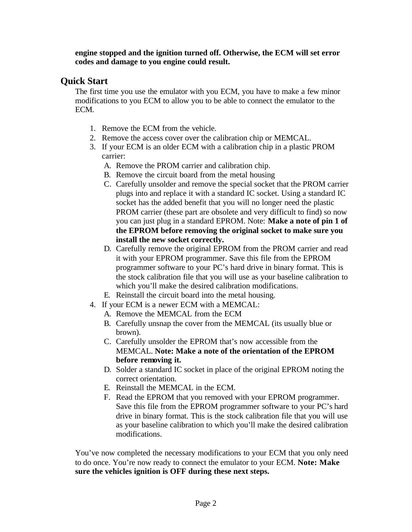**engine stopped and the ignition turned off. Otherwise, the ECM will set error codes and damage to you engine could result.** 

#### **Quick Start**

The first time you use the emulator with you ECM, you have to make a few minor modifications to you ECM to allow you to be able to connect the emulator to the ECM.

- 1. Remove the ECM from the vehicle.
- 2. Remove the access cover over the calibration chip or MEMCAL.
- 3. If your ECM is an older ECM with a calibration chip in a plastic PROM carrier:
	- A. Remove the PROM carrier and calibration chip.
	- B. Remove the circuit board from the metal housing
	- C. Carefully unsolder and remove the special socket that the PROM carrier plugs into and replace it with a standard IC socket. Using a standard IC socket has the added benefit that you will no longer need the plastic PROM carrier (these part are obsolete and very difficult to find) so now you can just plug in a standard EPROM. Note: **Make a note of pin 1 of the EPROM before removing the original socket to make sure you install the new socket correctly.**
	- D. Carefully remove the original EPROM from the PROM carrier and read it with your EPROM programmer. Save this file from the EPROM programmer software to your PC's hard drive in binary format. This is the stock calibration file that you will use as your baseline calibration to which you'll make the desired calibration modifications.
	- E. Reinstall the circuit board into the metal housing.
- 4. If your ECM is a newer ECM with a MEMCAL:
	- A. Remove the MEMCAL from the ECM
	- B. Carefully unsnap the cover from the MEMCAL (its usually blue or brown).
	- C. Carefully unsolder the EPROM that's now accessible from the MEMCAL. **Note: Make a note of the orientation of the EPROM before removing it.**
	- D. Solder a standard IC socket in place of the original EPROM noting the correct orientation.
	- E. Reinstall the MEMCAL in the ECM.
	- F. Read the EPROM that you removed with your EPROM programmer. Save this file from the EPROM programmer software to your PC's hard drive in binary format. This is the stock calibration file that you will use as your baseline calibration to which you'll make the desired calibration modifications.

You've now completed the necessary modifications to your ECM that you only need to do once. You're now ready to connect the emulator to your ECM. **Note: Make sure the vehicles ignition is OFF during these next steps.**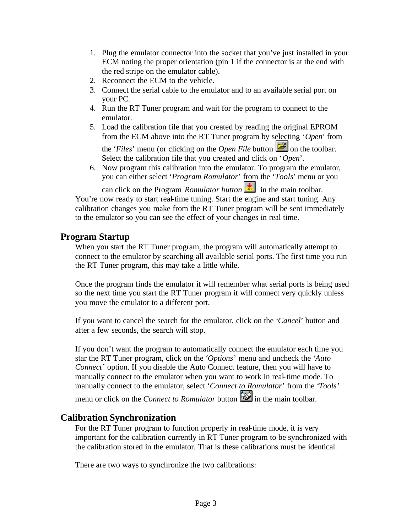- 1. Plug the emulator connector into the socket that you've just installed in your ECM noting the proper orientation (pin 1 if the connector is at the end with the red stripe on the emulator cable).
- 2. Reconnect the ECM to the vehicle.
- 3. Connect the serial cable to the emulator and to an available serial port on your PC.
- 4. Run the RT Tuner program and wait for the program to connect to the emulator.
- 5. Load the calibration file that you created by reading the original EPROM from the ECM above into the RT Tuner program by selecting '*Open*' from

the '*Files*' menu (or clicking on the *Open File* button **or** on the toolbar. Select the calibration file that you created and click on '*Open*'.

6. Now program this calibration into the emulator. To program the emulator, you can either select '*Program Romulator*' from the '*Tools*' menu or you

can click on the Program *Romulator button*  $\frac{1}{\sqrt{2}}$  in the main toolbar. You're now ready to start real-time tuning. Start the engine and start tuning. Any calibration changes you make from the RT Tuner program will be sent immediately to the emulator so you can see the effect of your changes in real time.

#### **Program Startup**

When you start the RT Tuner program, the program will automatically attempt to connect to the emulator by searching all available serial ports. The first time you run the RT Tuner program, this may take a little while.

Once the program finds the emulator it will remember what serial ports is being used so the next time you start the RT Tuner program it will connect very quickly unless you move the emulator to a different port.

If you want to cancel the search for the emulator, click on the '*Cancel*' button and after a few seconds, the search will stop.

If you don't want the program to automatically connect the emulator each time you star the RT Tuner program, click on the '*Options*' menu and uncheck the '*Auto Connect*' option. If you disable the Auto Connect feature, then you will have to manually connect to the emulator when you want to work in real-time mode. To manually connect to the emulator, select '*Connect to Romulator*' from the '*Tools*'

menu or click on the *Connect to Romulator* button in the main toolbar.

### **Calibration Synchronization**

For the RT Tuner program to function properly in real-time mode, it is very important for the calibration currently in RT Tuner program to be synchronized with the calibration stored in the emulator. That is these calibrations must be identical.

There are two ways to synchronize the two calibrations: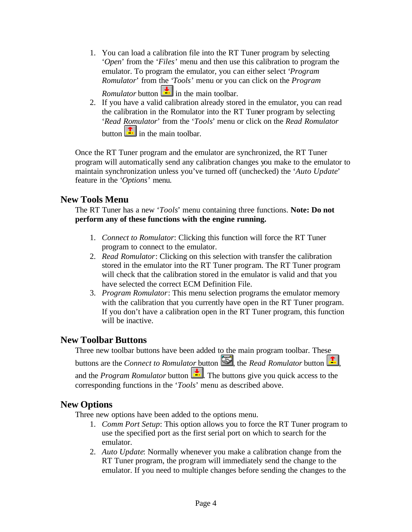- 1. You can load a calibration file into the RT Tuner program by selecting '*Open*' from the '*Files*' menu and then use this calibration to program the emulator. To program the emulator, you can either select '*Program Romulator*' from the '*Tools*' menu or you can click on the *Program Romulator* button  $\frac{1}{\cdot}$  in the main toolbar.
- 2. If you have a valid calibration already stored in the emulator, you can read the calibration in the Romulator into the RT Tuner program by selecting '*Read Romulator*' from the '*Tools*' menu or click on the *Read Romulator* button  $\boxed{\frac{1}{n}}$  in the main toolbar.

Once the RT Tuner program and the emulator are synchronized, the RT Tuner program will automatically send any calibration changes you make to the emulator to maintain synchronization unless you've turned off (unchecked) the '*Auto Update*' feature in the '*Options*' menu.

#### **New Tools Menu**

The RT Tuner has a new '*Tools*' menu containing three functions. **Note: Do not perform any of these functions with the engine running.**

- 1. *Connect to Romulator*: Clicking this function will force the RT Tuner program to connect to the emulator.
- 2. *Read Romulator*: Clicking on this selection with transfer the calibration stored in the emulator into the RT Tuner program. The RT Tuner program will check that the calibration stored in the emulator is valid and that you have selected the correct ECM Definition File.
- 3. *Program Romulator*: This menu selection programs the emulator memory with the calibration that you currently have open in the RT Tuner program. If you don't have a calibration open in the RT Tuner program, this function will be inactive.

### **New Toolbar Buttons**

Three new toolbar buttons have been added to the main program toolbar. These buttons are the *Connect to Romulator* button  $\ddot{\ddot{\bullet}}$ , the *Read Romulator* button  $\ddot{\bullet}$ . and the *Program Romulator* button  $\frac{1}{\cdot}$ . The buttons give you quick access to the corresponding functions in the '*Tools*' menu as described above.

### **New Options**

Three new options have been added to the options menu.

- 1. *Comm Port Setup*: This option allows you to force the RT Tuner program to use the specified port as the first serial port on which to search for the emulator.
- 2. *Auto Update*: Normally whenever you make a calibration change from the RT Tuner program, the program will immediately send the change to the emulator. If you need to multiple changes before sending the changes to the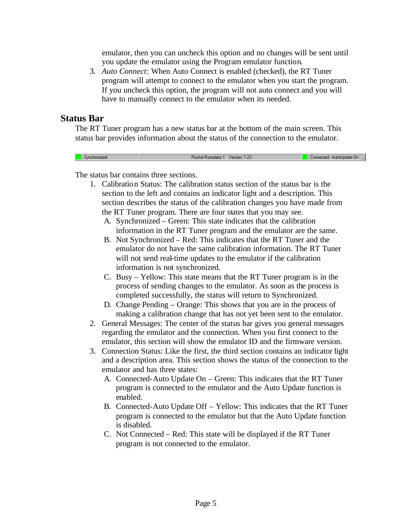emulator, then you can uncheck this option and no changes will be sent until you update the emulator using the Program emulator function.

3. *Auto Connect*: When Auto Connect is enabled (checked), the RT Tuner program will attempt to connect to the emulator when you start the program. If you uncheck this option, the program will not auto connect and you will have to manually connect to the emulator when its needed.

#### **Status Bar**

The RT Tuner program has a new status bar at the bottom of the main screen. This status bar provides information about the status of the connection to the emulator.

| Sunchronized | Version: 1.23<br>ket Bomulator 1<br>m. I | . .<br>Connected - AutoUpdate On<br>w. |
|--------------|------------------------------------------|----------------------------------------|

The status bar contains three sections.

- 1. Calibration Status: The calibration status section of the status bar is the section to the left and contains an indicator light and a description. This section describes the status of the calibration changes you have made from the RT Tuner program. There are four states that you may see.
	- A. Synchronized Green: This state indicates that the calibration information in the RT Tuner program and the emulator are the same.
	- B. Not Synchronized Red: This indicates that the RT Tuner and the emulator do not have the same calibration information. The RT Tuner will not send real-time updates to the emulator if the calibration information is not synchronized.
	- C. Busy Yellow: This state means that the RT Tuner program is in the process of sending changes to the emulator. As soon as the process is completed successfully, the status will return to Synchronized.
	- D. Change Pending Orange: This shows that you are in the process of making a calibration change that has not yet been sent to the emulator.
- 2. General Messages: The center of the status bar gives you general messages regarding the emulator and the connection. When you first connect to the emulator, this section will show the emulator ID and the firmware version.
- 3. Connection Status: Like the first, the third section contains an indicator light and a description area. This section shows the status of the connection to the emulator and has three states:
	- A. Connected-Auto Update On Green: This indicates that the RT Tuner program is connected to the emulator and the Auto Update function is enabled.
	- B. Connected-Auto Update Off Yellow: This indicates that the RT Tuner program is connected to the emulator but that the Auto Update function is disabled.
	- C. Not Connected Red: This state will be displayed if the RT Tuner program is not connected to the emulator.